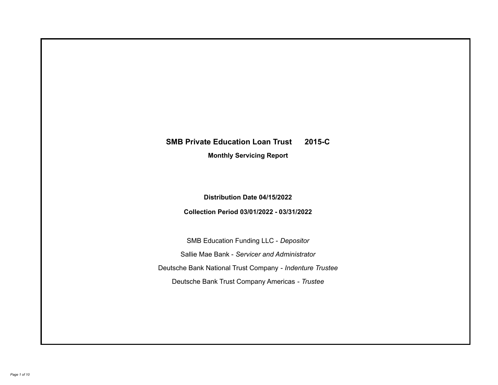# **SMB Private Education Loan Trust 2015-C**

**Monthly Servicing Report**

**Distribution Date 04/15/2022**

**Collection Period 03/01/2022 - 03/31/2022**

SMB Education Funding LLC - *Depositor* Sallie Mae Bank - *Servicer and Administrator* Deutsche Bank National Trust Company - *Indenture Trustee* Deutsche Bank Trust Company Americas - *Trustee*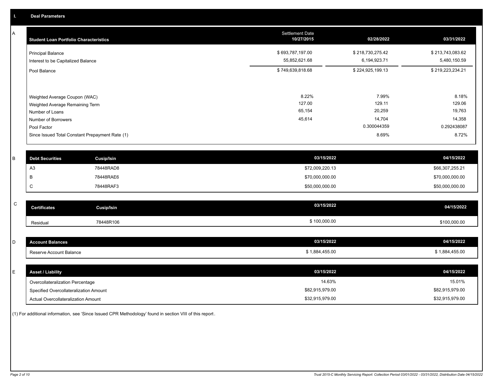A

| <b>Student Loan Portfolio Characteristics</b>                                                                             | <b>Settlement Date</b><br>10/27/2015 | 02/28/2022                                         | 03/31/2022                                         |
|---------------------------------------------------------------------------------------------------------------------------|--------------------------------------|----------------------------------------------------|----------------------------------------------------|
| <b>Principal Balance</b><br>Interest to be Capitalized Balance                                                            | \$693,787,197.00<br>55,852,621.68    | \$218,730,275.42<br>6,194,923.71                   | \$213,743,083.62<br>5,480,150.59                   |
| Pool Balance                                                                                                              | \$749,639,818.68                     | \$224,925,199.13                                   | \$219,223,234.21                                   |
| Weighted Average Coupon (WAC)<br>Weighted Average Remaining Term<br>Number of Loans<br>Number of Borrowers<br>Pool Factor | 8.22%<br>127.00<br>65,154<br>45,614  | 7.99%<br>129.11<br>20,259<br>14,704<br>0.300044359 | 8.18%<br>129.06<br>19,763<br>14,358<br>0.292438087 |
| Since Issued Total Constant Prepayment Rate (1)                                                                           |                                      | 8.69%                                              | 8.72%                                              |

| <b>Debt Securities</b> | Cusip/Isin | 03/15/2022      | 04/15/2022      |
|------------------------|------------|-----------------|-----------------|
| A3                     | 78448RAD8  | \$72,009,220.13 | \$66,307,255.21 |
|                        | 78448RAE6  | \$70,000,000.00 | \$70,000,000.00 |
|                        | 78448RAF3  | \$50,000,000.00 | \$50,000,000.00 |

| $\sim$<br>◡ | <b>Certificates</b> | Cusip/Isin | 03/15/2022   | 04/15/2022   |
|-------------|---------------------|------------|--------------|--------------|
|             | Residual            | 78448R106  | \$100,000.00 | \$100,000.00 |

| count Balances             | 03/15/2022                | 04/15/2022              |
|----------------------------|---------------------------|-------------------------|
| seserve Account Balance، ا | 00.455 ب<br>$\sim$ $\sim$ | $1$ $88$ $A$<br>.455.00 |

| E. | <b>Asset / Liability</b>               | 03/15/2022      | 04/15/2022      |
|----|----------------------------------------|-----------------|-----------------|
|    | Overcollateralization Percentage       | 14.63%          | 15.01%          |
|    | Specified Overcollateralization Amount | \$82,915,979.00 | \$82,915,979.00 |
|    | Actual Overcollateralization Amount    | \$32,915,979.00 | \$32,915,979.00 |

(1) For additional information, see 'Since Issued CPR Methodology' found in section VIII of this report .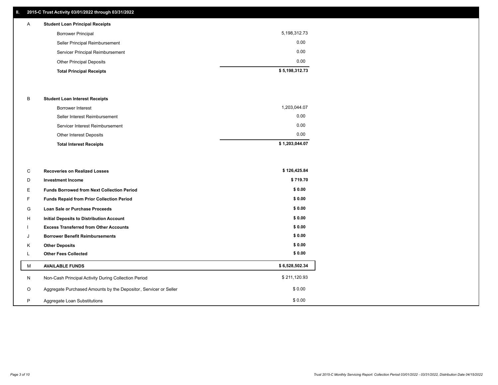## **II. 2015-C Trust Activity 03/01/2022 through 03/31/2022**

## A **Student Loan Principal Receipts**

| <b>Total Principal Receipts</b>  | \$5,198,312.73 |
|----------------------------------|----------------|
| <b>Other Principal Deposits</b>  | 0.00           |
| Servicer Principal Reimbursement | 0.00           |
| Seller Principal Reimbursement   | 0.00           |
| <b>Borrower Principal</b>        | 5,198,312.73   |
|                                  |                |

#### B **Student Loan Interest Receipts**

| Borrower Interest               | 1,203,044.07   |
|---------------------------------|----------------|
| Seller Interest Reimbursement   | 0.00           |
| Servicer Interest Reimbursement | 0.00           |
| Other Interest Deposits         | 0.00           |
| <b>Total Interest Receipts</b>  | \$1,203,044.07 |

| С       | <b>Recoveries on Realized Losses</b>                             | \$126,425.84   |
|---------|------------------------------------------------------------------|----------------|
| D       | <b>Investment Income</b>                                         | \$719.70       |
| E.      | <b>Funds Borrowed from Next Collection Period</b>                | \$0.00         |
| F       | <b>Funds Repaid from Prior Collection Period</b>                 | \$0.00         |
| G       | Loan Sale or Purchase Proceeds                                   | \$0.00         |
| H       | Initial Deposits to Distribution Account                         | \$0.00         |
|         | <b>Excess Transferred from Other Accounts</b>                    | \$0.00         |
| J       | <b>Borrower Benefit Reimbursements</b>                           | \$0.00         |
| K       | <b>Other Deposits</b>                                            | \$0.00         |
|         | <b>Other Fees Collected</b>                                      | \$0.00         |
| M       | <b>AVAILABLE FUNDS</b>                                           | \$6,528,502.34 |
| N       | Non-Cash Principal Activity During Collection Period             | \$211,120.93   |
| $\circ$ | Aggregate Purchased Amounts by the Depositor, Servicer or Seller | \$0.00         |
| P       | Aggregate Loan Substitutions                                     | \$0.00         |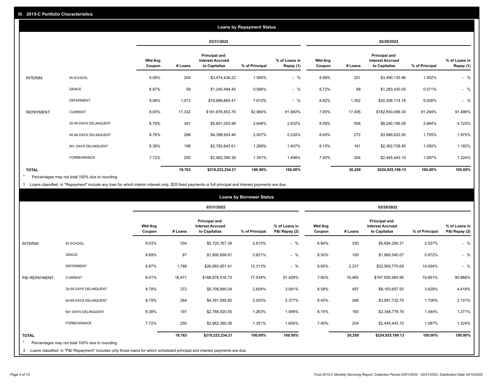|                   | <b>Loans by Repayment Status</b> |                          |         |                                                           |                |                            |                          |         |                                                           |                |                            |
|-------------------|----------------------------------|--------------------------|---------|-----------------------------------------------------------|----------------|----------------------------|--------------------------|---------|-----------------------------------------------------------|----------------|----------------------------|
|                   |                                  |                          |         | 03/31/2022                                                |                |                            |                          |         | 02/28/2022                                                |                |                            |
|                   |                                  | <b>Wtd Avg</b><br>Coupon | # Loans | Principal and<br><b>Interest Accrued</b><br>to Capitalize | % of Principal | % of Loans in<br>Repay (1) | <b>Wtd Avg</b><br>Coupon | # Loans | Principal and<br><b>Interest Accrued</b><br>to Capitalize | % of Principal | % of Loans in<br>Repay (1) |
| INTERIM:          | IN SCHOOL                        | 9.09%                    | 204     | \$3,474,436.22                                            | 1.585%         | $-$ %                      | 8.88%                    | 201     | \$3,490,135.96                                            | 1.552%         | $-$ %                      |
|                   | GRACE                            | 8.87%                    | 59      | \$1,240,494.40                                            | 0.566%         | $-$ %                      | 8.72%                    | 68      | \$1,283,430.05                                            | 0.571%         | $-$ %                      |
|                   | <b>DEFERMENT</b>                 | 9.08%                    | 1,073   | \$16,686,665.41                                           | 7.612%         | $-$ %                      | 8.82%                    | 1,352   | \$20,306,174.18                                           | 9.028%         | $-$ %                      |
| <b>REPAYMENT:</b> | <b>CURRENT</b>                   | 8.05%                    | 17,332  | \$181,876,653.79                                          | 82.964%        | 91.940%                    | 7.85%                    | 17,495  | \$182,850,499.30                                          | 81.294%        | 91.496%                    |
|                   | 30-59 DAYS DELINQUENT            | 8.79%                    | 381     | \$5,801,025.96                                            | 2.646%         | 2.932%                     | 8.59%                    | 506     | \$8,240,156.09                                            | 3.664%         | 4.123%                     |
|                   | 60-89 DAYS DELINQUENT            | 8.78%                    | 266     | \$4,398,924.46                                            | 2.007%         | 2.224%                     | 8.45%                    | 272     | \$3,946,632.00                                            | 1.755%         | 1.975%                     |
|                   | 90+ DAYS DELINQUENT              | 8.38%                    | 198     | \$2,782,643.61                                            | 1.269%         | 1.407%                     | 8.15%                    | 161     | \$2,362,728.45                                            | 1.050%         | 1.182%                     |
|                   | FORBEARANCE                      | 7.72%                    | 250     | \$2,962,390.36                                            | 1.351%         | 1.498%                     | 7.40%                    | 204     | \$2,445,443.10                                            | 1.087%         | 1.224%                     |
| <b>TOTAL</b>      |                                  |                          | 19,763  | \$219,223,234.21                                          | 100.00%        | 100.00%                    |                          | 20,259  | \$224,925,199.13                                          | 100.00%        | 100.00%                    |

Percentages may not total 100% due to rounding \*

1 Loans classified in "Repayment" include any loan for which interim interest only, \$25 fixed payments or full principal and interest payments are due.

| <b>Loans by Borrower Status</b> |                                                                                                                                                                                |                          |            |                                                                  |                |                                |                          |         |                                                                  |                |                                |
|---------------------------------|--------------------------------------------------------------------------------------------------------------------------------------------------------------------------------|--------------------------|------------|------------------------------------------------------------------|----------------|--------------------------------|--------------------------|---------|------------------------------------------------------------------|----------------|--------------------------------|
|                                 |                                                                                                                                                                                |                          | 03/31/2022 |                                                                  |                |                                |                          |         | 02/28/2022                                                       |                |                                |
|                                 |                                                                                                                                                                                | <b>Wtd Avg</b><br>Coupon | # Loans    | <b>Principal and</b><br><b>Interest Accrued</b><br>to Capitalize | % of Principal | % of Loans in<br>P&I Repay (2) | <b>Wtd Avg</b><br>Coupon | # Loans | <b>Principal and</b><br><b>Interest Accrued</b><br>to Capitalize | % of Principal | % of Loans in<br>P&I Repay (2) |
| <b>INTERIM:</b>                 | IN SCHOOL                                                                                                                                                                      | 9.03%                    | 334        | \$5,720,767.39                                                   | 2.610%         | $-$ %                          | 8.84%                    | 330     | \$5,684,290.31                                                   | 2.527%         | $-$ %                          |
|                                 | <b>GRACE</b>                                                                                                                                                                   | 8.69%                    | 87         | \$1,800,696.91                                                   | 0.821%         | $-$ %                          | 8.50%                    | 100     | \$1,960,540.07                                                   | 0.872%         | $-$ %                          |
|                                 | <b>DEFERMENT</b>                                                                                                                                                               | 8.87%                    | 1,788      | \$26,993,951.41                                                  | 12.313%        | $-$ %                          | 8.65%                    | 2,237   | \$32,509,770.69                                                  | 14.454%        | $-$ %                          |
| P&I REPAYMENT:                  | <b>CURRENT</b>                                                                                                                                                                 | 8.01%                    | 16,471     | \$168,876,516.73                                                 | 77.034%        | 91.429%                        | 7.80%                    | 16,465  | \$167,930,985.95                                                 | 74.661%        | 90.886%                        |
|                                 | 30-59 DAYS DELINQUENT                                                                                                                                                          | 8.78%                    | 372        | \$5,708,895.04                                                   | 2.604%         | 3.091%                         | 8.59%                    | 497     | \$8,163,657.55                                                   | 3.629%         | 4.418%                         |
|                                 | 60-89 DAYS DELINQUENT                                                                                                                                                          | 8.79%                    | 264        | \$4,391,095.82                                                   | 2.003%         | 2.377%                         | 8.45%                    | 266     | \$3,881,732.70                                                   | 1.726%         | 2.101%                         |
|                                 | 90+ DAYS DELINQUENT                                                                                                                                                            | 8.38%                    | 197        | \$2,768,920.55                                                   | 1.263%         | 1.499%                         | 8.15%                    | 160     | \$2,348,778.76                                                   | 1.044%         | 1.271%                         |
|                                 | <b>FORBEARANCE</b>                                                                                                                                                             | 7.72%                    | 250        | \$2,962,390.36                                                   | 1.351%         | 1.604%                         | 7.40%                    | 204     | \$2,445,443.10                                                   | 1.087%         | 1.324%                         |
| <b>TOTAL</b>                    | Percentages may not total 100% due to rounding<br>2 Loans classified in "P&I Repayment" includes only those loans for which scheduled principal and interest payments are due. |                          | 19,763     | \$219,223,234.21                                                 | 100.00%        | 100.00%                        |                          | 20,259  | \$224,925,199.13                                                 | 100.00%        | 100.00%                        |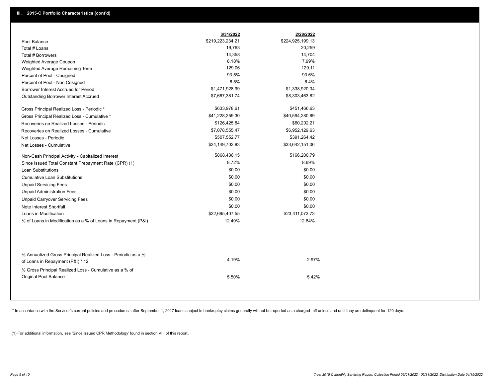|                                                                                                  | 3/31/2022        | 2/28/2022        |
|--------------------------------------------------------------------------------------------------|------------------|------------------|
| Pool Balance                                                                                     | \$219,223,234.21 | \$224,925,199.13 |
| Total # Loans                                                                                    | 19,763           | 20,259           |
| Total # Borrowers                                                                                | 14,358           | 14,704           |
| Weighted Average Coupon                                                                          | 8.18%            | 7.99%            |
| Weighted Average Remaining Term                                                                  | 129.06           | 129.11           |
| Percent of Pool - Cosigned                                                                       | 93.5%            | 93.6%            |
| Percent of Pool - Non Cosigned                                                                   | 6.5%             | 6.4%             |
| Borrower Interest Accrued for Period                                                             | \$1,471,928.99   | \$1,338,920.34   |
| Outstanding Borrower Interest Accrued                                                            | \$7,667,381.74   | \$8,303,463.82   |
| Gross Principal Realized Loss - Periodic *                                                       | \$633,978.61     | \$451,466.63     |
| Gross Principal Realized Loss - Cumulative *                                                     | \$41,228,259.30  | \$40,594,280.69  |
| Recoveries on Realized Losses - Periodic                                                         | \$126,425.84     | \$60,202.21      |
| Recoveries on Realized Losses - Cumulative                                                       | \$7,078,555.47   | \$6,952,129.63   |
| Net Losses - Periodic                                                                            | \$507,552.77     | \$391,264.42     |
| Net Losses - Cumulative                                                                          | \$34,149,703.83  | \$33,642,151.06  |
| Non-Cash Principal Activity - Capitalized Interest                                               | \$868,436.15     | \$166,200.79     |
| Since Issued Total Constant Prepayment Rate (CPR) (1)                                            | 8.72%            | 8.69%            |
| <b>Loan Substitutions</b>                                                                        | \$0.00           | \$0.00           |
| <b>Cumulative Loan Substitutions</b>                                                             | \$0.00           | \$0.00           |
| <b>Unpaid Servicing Fees</b>                                                                     | \$0.00           | \$0.00           |
| <b>Unpaid Administration Fees</b>                                                                | \$0.00           | \$0.00           |
| <b>Unpaid Carryover Servicing Fees</b>                                                           | \$0.00           | \$0.00           |
| Note Interest Shortfall                                                                          | \$0.00           | \$0.00           |
| Loans in Modification                                                                            | \$22,695,407.55  | \$23,411,073.73  |
| % of Loans in Modification as a % of Loans in Repayment (P&I)                                    | 12.49%           | 12.84%           |
|                                                                                                  |                  |                  |
| % Annualized Gross Principal Realized Loss - Periodic as a %<br>of Loans in Repayment (P&I) * 12 | 4.19%            | 2.97%            |
| % Gross Principal Realized Loss - Cumulative as a % of<br><b>Original Pool Balance</b>           | 5.50%            | 5.42%            |

\* In accordance with the Servicer's current policies and procedures, after September 1, 2017 loans subject to bankruptcy claims generally will not be reported as a charged- off unless and until they are delinquent for 120

(1) For additional information, see 'Since Issued CPR Methodology' found in section VIII of this report .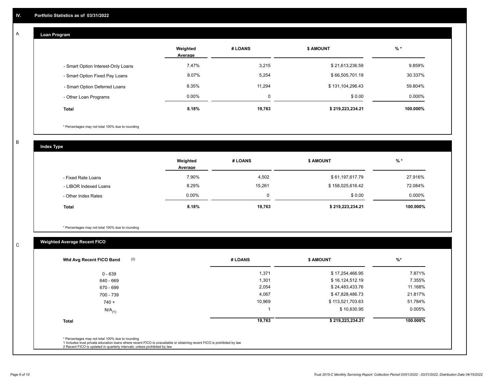## **Loan Program**

A

|                                    | Weighted<br>Average | # LOANS  | <b>\$ AMOUNT</b> | $%$ *     |
|------------------------------------|---------------------|----------|------------------|-----------|
| - Smart Option Interest-Only Loans | 7.47%               | 3,215    | \$21,613,236.59  | 9.859%    |
| - Smart Option Fixed Pay Loans     | 8.07%               | 5,254    | \$66,505,701.19  | 30.337%   |
| - Smart Option Deferred Loans      | 8.35%               | 11,294   | \$131,104,296.43 | 59.804%   |
| - Other Loan Programs              | $0.00\%$            | $\Omega$ | \$0.00           | $0.000\%$ |
| <b>Total</b>                       | 8.18%               | 19,763   | \$219,223,234.21 | 100.000%  |

\* Percentages may not total 100% due to rounding

B

C

**Index Type**

|                       | Weighted<br>Average | # LOANS | <b>\$ AMOUNT</b> | % *      |
|-----------------------|---------------------|---------|------------------|----------|
| - Fixed Rate Loans    | 7.90%               | 4,502   | \$61,197,617.79  | 27.916%  |
| - LIBOR Indexed Loans | 8.29%               | 15,261  | \$158,025,616.42 | 72.084%  |
| - Other Index Rates   | $0.00\%$            | 0       | \$0.00           | 0.000%   |
| <b>Total</b>          | 8.18%               | 19,763  | \$219,223,234.21 | 100.000% |

\* Percentages may not total 100% due to rounding

## **Weighted Average Recent FICO**

| 1,371<br>\$17,254,466.95<br>1,301<br>\$16,124,512.19<br>2,054<br>\$24,483,433.76<br>4,067<br>\$47,828,486.73 | 7.871%<br>7.355%<br>11.168%<br>21.817% |
|--------------------------------------------------------------------------------------------------------------|----------------------------------------|
|                                                                                                              |                                        |
|                                                                                                              |                                        |
|                                                                                                              |                                        |
|                                                                                                              |                                        |
| \$113,521,703.63<br>10,969                                                                                   | 51.784%                                |
| \$10,630.95                                                                                                  | 0.005%                                 |
| 19,763<br>\$219,223,234.21                                                                                   | 100.000%                               |
|                                                                                                              |                                        |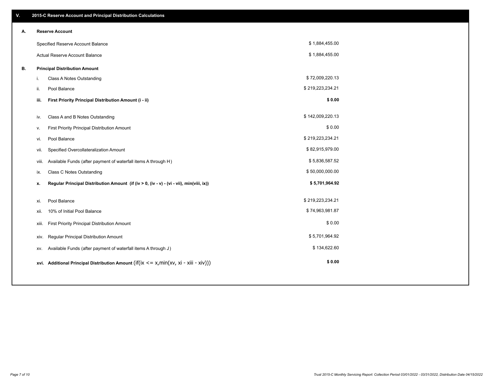| V. |       | 2015-C Reserve Account and Principal Distribution Calculations                                      |                  |  |
|----|-------|-----------------------------------------------------------------------------------------------------|------------------|--|
| А. |       | <b>Reserve Account</b>                                                                              |                  |  |
|    |       | Specified Reserve Account Balance                                                                   | \$1,884,455.00   |  |
|    |       | Actual Reserve Account Balance                                                                      | \$1,884,455.00   |  |
| В. |       | <b>Principal Distribution Amount</b>                                                                |                  |  |
|    | j.    | Class A Notes Outstanding                                                                           | \$72,009,220.13  |  |
|    | ii.   | Pool Balance                                                                                        | \$219,223,234.21 |  |
|    | iii.  | First Priority Principal Distribution Amount (i - ii)                                               | \$0.00           |  |
|    |       |                                                                                                     | \$142,009,220.13 |  |
|    | iv.   | Class A and B Notes Outstanding                                                                     |                  |  |
|    | v.    | First Priority Principal Distribution Amount                                                        | \$0.00           |  |
|    | vi.   | Pool Balance                                                                                        | \$219,223,234.21 |  |
|    | vii.  | Specified Overcollateralization Amount                                                              | \$82,915,979.00  |  |
|    | viii. | Available Funds (after payment of waterfall items A through H)                                      | \$5,836,587.52   |  |
|    | ix.   | <b>Class C Notes Outstanding</b>                                                                    | \$50,000,000.00  |  |
|    | x.    | Regular Principal Distribution Amount (if (iv > 0, (iv - v) - (vi - vii), min(viii, ix))            | \$5,701,964.92   |  |
|    |       |                                                                                                     |                  |  |
|    | xi.   | Pool Balance                                                                                        | \$219,223,234.21 |  |
|    | xii.  | 10% of Initial Pool Balance                                                                         | \$74,963,981.87  |  |
|    | xiii. | First Priority Principal Distribution Amount                                                        | \$0.00           |  |
|    | XIV.  | Regular Principal Distribution Amount                                                               | \$5,701,964.92   |  |
|    | XV.   | Available Funds (after payment of waterfall items A through J)                                      | \$134,622.60     |  |
|    |       | xvi. Additional Principal Distribution Amount (if( $ix \le x$ , min( $xv$ , $xi$ - $xiii - xiv$ ))) | \$0.00           |  |
|    |       |                                                                                                     |                  |  |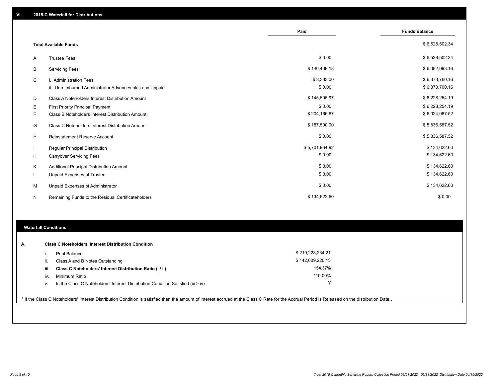|    |                                                                                   | Paid                 | <b>Funds Balance</b>             |
|----|-----------------------------------------------------------------------------------|----------------------|----------------------------------|
|    | <b>Total Available Funds</b>                                                      |                      | \$6,528,502.34                   |
| A  | <b>Trustee Fees</b>                                                               | \$0.00               | \$6,528,502.34                   |
| В  | <b>Servicing Fees</b>                                                             | \$146,409.18         | \$6,382,093.16                   |
| C  | i. Administration Fees<br>ii. Unreimbursed Administrator Advances plus any Unpaid | \$8,333.00<br>\$0.00 | \$6,373,760.16<br>\$6,373,760.16 |
| D  | Class A Noteholders Interest Distribution Amount                                  | \$145,505.97         | \$6,228,254.19                   |
| Е  | <b>First Priority Principal Payment</b>                                           | \$0.00               | \$6,228,254.19                   |
| F. | Class B Noteholders Interest Distribution Amount                                  | \$204,166.67         | \$6,024,087.52                   |
| G  | Class C Noteholders Interest Distribution Amount                                  | \$187,500.00         | \$5,836,587.52                   |
| H  | <b>Reinstatement Reserve Account</b>                                              | \$0.00               | \$5,836,587.52                   |
|    | <b>Regular Principal Distribution</b>                                             | \$5,701,964.92       | \$134,622.60                     |
| J  | <b>Carryover Servicing Fees</b>                                                   | \$0.00               | \$134,622.60                     |
| K  | Additional Principal Distribution Amount                                          | \$0.00               | \$134,622.60                     |
| L  | Unpaid Expenses of Trustee                                                        | \$0.00               | \$134,622.60                     |
| м  | Unpaid Expenses of Administrator                                                  | \$0.00               | \$134,622.60                     |
| N  | Remaining Funds to the Residual Certificateholders                                | \$134,622.60         | \$0.00                           |

### **Waterfall Conditions**

| А. |      | <b>Class C Noteholders' Interest Distribution Condition</b>                        |                  |  |
|----|------|------------------------------------------------------------------------------------|------------------|--|
|    |      | Pool Balance                                                                       | \$219,223,234.21 |  |
|    | н.   | Class A and B Notes Outstanding                                                    | \$142,009,220.13 |  |
|    | iii. | Class C Noteholders' Interest Distribution Ratio (i / ii)                          | 154.37%          |  |
|    | iv.  | Minimum Ratio                                                                      | 110.00%          |  |
|    | v.   | Is the Class C Noteholders' Interest Distribution Condition Satisfied (iii $>$ iv) | v                |  |
|    |      |                                                                                    |                  |  |

\* If the Class C Noteholders' Interest Distribution Condition is satisfied then the amount of interest accrued at the Class C Rate for the Accrual Period is Released on the distribution Date .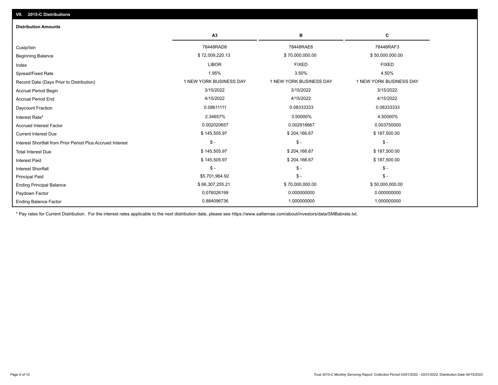| <b>Distribution Amounts</b>                                |                         |                         |                         |
|------------------------------------------------------------|-------------------------|-------------------------|-------------------------|
|                                                            | A3                      | в                       | C                       |
| Cusip/Isin                                                 | 78448RAD8               | 78448RAE6               | 78448RAF3               |
| <b>Beginning Balance</b>                                   | \$72,009,220.13         | \$70,000,000.00         | \$50,000,000.00         |
| Index                                                      | <b>LIBOR</b>            | <b>FIXED</b>            | <b>FIXED</b>            |
| Spread/Fixed Rate                                          | 1.95%                   | 3.50%                   | 4.50%                   |
| Record Date (Days Prior to Distribution)                   | 1 NEW YORK BUSINESS DAY | 1 NEW YORK BUSINESS DAY | 1 NEW YORK BUSINESS DAY |
| <b>Accrual Period Begin</b>                                | 3/15/2022               | 3/15/2022               | 3/15/2022               |
| <b>Accrual Period End</b>                                  | 4/15/2022               | 4/15/2022               | 4/15/2022               |
| <b>Daycount Fraction</b>                                   | 0.08611111              | 0.08333333              | 0.08333333              |
| Interest Rate*                                             | 2.34657%                | 3.50000%                | 4.50000%                |
| <b>Accrued Interest Factor</b>                             | 0.002020657             | 0.002916667             | 0.003750000             |
| <b>Current Interest Due</b>                                | \$145,505.97            | \$204,166.67            | \$187,500.00            |
| Interest Shortfall from Prior Period Plus Accrued Interest | $\mathsf{\$}$ -         | $\mathcal{S}$ -         | $\frac{1}{2}$           |
| <b>Total Interest Due</b>                                  | \$145,505.97            | \$204,166.67            | \$187,500.00            |
| <b>Interest Paid</b>                                       | \$145,505.97            | \$204,166.67            | \$187,500.00            |
| <b>Interest Shortfall</b>                                  | $$ -$                   | $\mathsf{\$}$ -         | $\frac{1}{2}$           |
| <b>Principal Paid</b>                                      | \$5,701,964.92          | $\mathsf{\$}$ -         | $$ -$                   |
| <b>Ending Principal Balance</b>                            | \$66,307,255.21         | \$70,000,000.00         | \$50,000,000.00         |
| Paydown Factor                                             | 0.076026199             | 0.000000000             | 0.000000000             |
| <b>Ending Balance Factor</b>                               | 0.884096736             | 1.000000000             | 1.000000000             |

\* Pay rates for Current Distribution. For the interest rates applicable to the next distribution date, please see https://www.salliemae.com/about/investors/data/SMBabrate.txt.

**VII. 2015-C Distributions**